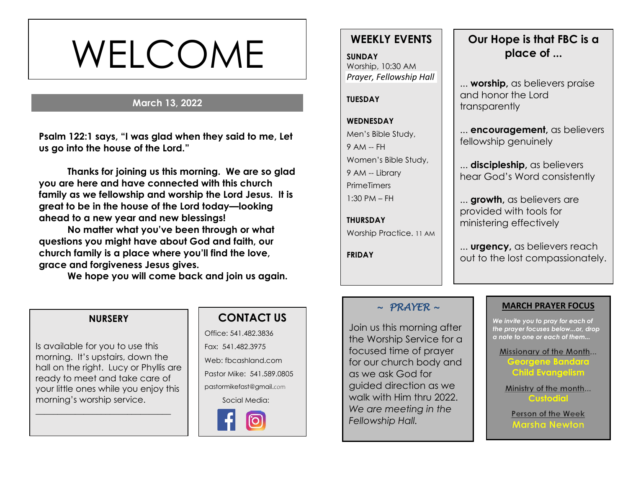# WELCOME

#### **March 13, 2022**

**s Psalm 122:1 says, "I was glad when they said to me, Let us go into the house of the Lord."**

**Thanks for joining us this morning. We are so glad you are here and have connected with this church family as we fellowship and worship the Lord Jesus. It is great to be in the house of the Lord today—looking ahead to a new year and new blessings!** 

**No matter what you've been through or what questions you might have about God and faith, our church family is a place where you'll find the love, grace and forgiveness Jesus gives.**

**We hope you will come back and join us again.**

## **WEEKLY EVENTS**

**SUNDAY** Worship, 10:30 AM *Prayer, Fellowship Hall*

#### **TUESDAY**

#### **WEDNESDAY** Men's Bible Study, 9 AM -- FH Women's Bible Study, 9 AM -- Library **PrimeTimers** 1:30 PM – FH

**THURSDAY** Worship Practice. 11 AM

**FRIDAY**

# **Our Hope is that FBC is a place of ...**

... **worship,** as believers praise and honor the Lord transparently

... **encouragement,** as believers fellowship genuinely

... **discipleship,** as believers hear God's Word consistently

... **growth,** as believers are provided with tools for ministering effectively

... **urgency,** as believers reach out to the lost compassionately.

#### *~ PRAYER ~*

Join us this morning after the Worship Service for a focused time of prayer for our church body and as we ask God for guided direction as we walk with Him thru 2022. *We are meeting in the Fellowship Hall.* 

#### **MARCH PRAYER FOCUS**

*We invite you to pray for each of the prayer focuses below...or, drop a note to one or each of them...*

#### Missionary of the Month...

**Georgene Bandara Child Evangelism**

Ministry of the month... **Custodial**

Person of the Week **Marsha Newton** 

#### **NURSERY**

Is available for you to use this morning. It's upstairs, down the hall on the right. Lucy or Phyllis are ready to meet and take care of your little ones while you enjoy this morning's worship service.

\_\_\_\_\_\_\_\_\_\_\_\_\_\_\_\_\_\_\_\_\_\_\_\_\_\_\_\_\_\_\_

#### **CONTACT US**

Office: 541.482.3836 Fax: 541.482.3975 Web: fbcashland.com Pastor Mike: 541.589.0805 pastormikefast@gmail.com Social Media: